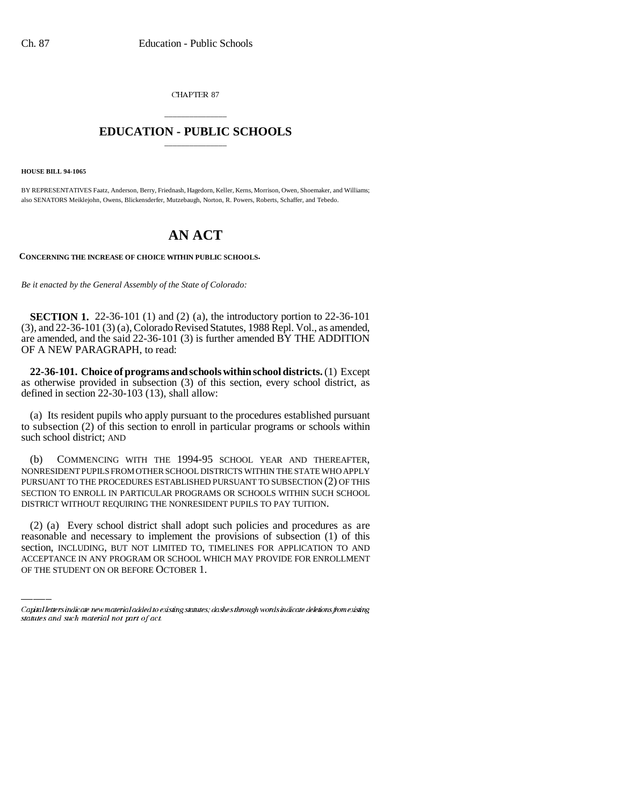CHAPTER 87

## \_\_\_\_\_\_\_\_\_\_\_\_\_\_\_ **EDUCATION - PUBLIC SCHOOLS** \_\_\_\_\_\_\_\_\_\_\_\_\_\_\_

**HOUSE BILL 94-1065**

BY REPRESENTATIVES Faatz, Anderson, Berry, Friednash, Hagedorn, Keller, Kerns, Morrison, Owen, Shoemaker, and Williams; also SENATORS Meiklejohn, Owens, Blickensderfer, Mutzebaugh, Norton, R. Powers, Roberts, Schaffer, and Tebedo.

## **AN ACT**

**CONCERNING THE INCREASE OF CHOICE WITHIN PUBLIC SCHOOLS.**

*Be it enacted by the General Assembly of the State of Colorado:*

**SECTION 1.** 22-36-101 (1) and (2) (a), the introductory portion to 22-36-101 (3), and 22-36-101 (3) (a), Colorado Revised Statutes, 1988 Repl. Vol., as amended, are amended, and the said 22-36-101 (3) is further amended BY THE ADDITION OF A NEW PARAGRAPH, to read:

**22-36-101. Choice of programs and schools within school districts.** (1) Except as otherwise provided in subsection (3) of this section, every school district, as defined in section 22-30-103 (13), shall allow:

(a) Its resident pupils who apply pursuant to the procedures established pursuant to subsection (2) of this section to enroll in particular programs or schools within such school district; AND

(b) COMMENCING WITH THE 1994-95 SCHOOL YEAR AND THEREAFTER, NONRESIDENT PUPILS FROM OTHER SCHOOL DISTRICTS WITHIN THE STATE WHO APPLY PURSUANT TO THE PROCEDURES ESTABLISHED PURSUANT TO SUBSECTION (2) OF THIS SECTION TO ENROLL IN PARTICULAR PROGRAMS OR SCHOOLS WITHIN SUCH SCHOOL DISTRICT WITHOUT REQUIRING THE NONRESIDENT PUPILS TO PAY TUITION.

(2) (a) Every school district shall adopt such policies and procedures as are reasonable and necessary to implement the provisions of subsection (1) of this section, INCLUDING, BUT NOT LIMITED TO, TIMELINES FOR APPLICATION TO AND ACCEPTANCE IN ANY PROGRAM OR SCHOOL WHICH MAY PROVIDE FOR ENROLLMENT OF THE STUDENT ON OR BEFORE OCTOBER 1.

Capital letters indicate new material added to existing statutes; dashes through words indicate deletions from existing statutes and such material not part of act.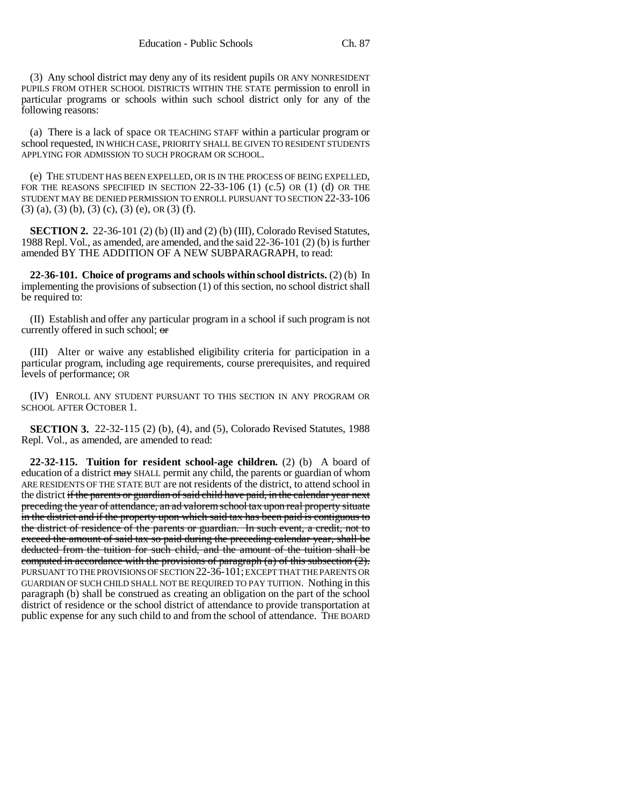(3) Any school district may deny any of its resident pupils OR ANY NONRESIDENT PUPILS FROM OTHER SCHOOL DISTRICTS WITHIN THE STATE permission to enroll in particular programs or schools within such school district only for any of the following reasons:

(a) There is a lack of space OR TEACHING STAFF within a particular program or school requested, IN WHICH CASE, PRIORITY SHALL BE GIVEN TO RESIDENT STUDENTS APPLYING FOR ADMISSION TO SUCH PROGRAM OR SCHOOL.

(e) THE STUDENT HAS BEEN EXPELLED, OR IS IN THE PROCESS OF BEING EXPELLED, FOR THE REASONS SPECIFIED IN SECTION  $22-33-106$  (1) (c.5) OR (1) (d) OR THE STUDENT MAY BE DENIED PERMISSION TO ENROLL PURSUANT TO SECTION 22-33-106  $(3)$  (a), (3) (b), (3) (c), (3) (e), OR (3) (f).

**SECTION 2.** 22-36-101 (2) (b) (II) and (2) (b) (III), Colorado Revised Statutes, 1988 Repl. Vol., as amended, are amended, and the said 22-36-101 (2) (b) is further amended BY THE ADDITION OF A NEW SUBPARAGRAPH, to read:

**22-36-101. Choice of programs and schools within school districts.** (2) (b) In implementing the provisions of subsection (1) of this section, no school district shall be required to:

(II) Establish and offer any particular program in a school if such program is not currently offered in such school; or

(III) Alter or waive any established eligibility criteria for participation in a particular program, including age requirements, course prerequisites, and required levels of performance; OR

(IV) ENROLL ANY STUDENT PURSUANT TO THIS SECTION IN ANY PROGRAM OR SCHOOL AFTER OCTOBER 1.

**SECTION 3.** 22-32-115 (2) (b), (4), and (5), Colorado Revised Statutes, 1988 Repl. Vol., as amended, are amended to read:

**22-32-115. Tuition for resident school-age children.** (2) (b) A board of education of a district may SHALL permit any child, the parents or guardian of whom ARE RESIDENTS OF THE STATE BUT are not residents of the district, to attend school in the district if the parents or guardian of said child have paid, in the calendar year next preceding the year of attendance, an ad valorem school tax upon real property situate in the district and if the property upon which said tax has been paid is contiguous to the district of residence of the parents or guardian. In such event, a credit, not to exceed the amount of said tax so paid during the preceding calendar year, shall be deducted from the tuition for such child, and the amount of the tuition shall be computed in accordance with the provisions of paragraph  $(a)$  of this subsection  $(2)$ . PURSUANT TO THE PROVISIONS OF SECTION 22-36-101; EXCEPT THAT THE PARENTS OR GUARDIAN OF SUCH CHILD SHALL NOT BE REQUIRED TO PAY TUITION. Nothing in this paragraph (b) shall be construed as creating an obligation on the part of the school district of residence or the school district of attendance to provide transportation at public expense for any such child to and from the school of attendance. THE BOARD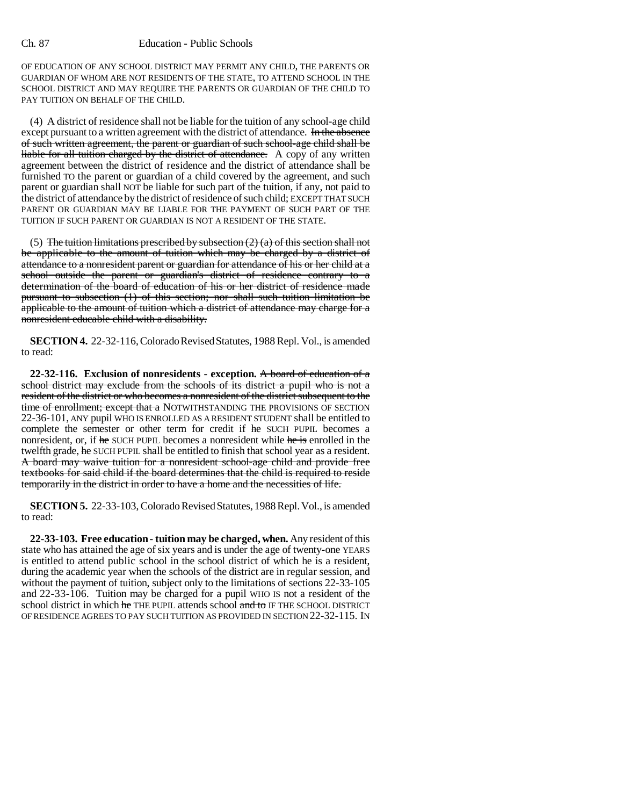## Ch. 87 Education - Public Schools

OF EDUCATION OF ANY SCHOOL DISTRICT MAY PERMIT ANY CHILD, THE PARENTS OR GUARDIAN OF WHOM ARE NOT RESIDENTS OF THE STATE, TO ATTEND SCHOOL IN THE SCHOOL DISTRICT AND MAY REQUIRE THE PARENTS OR GUARDIAN OF THE CHILD TO PAY TUITION ON BEHALF OF THE CHILD.

(4) A district of residence shall not be liable for the tuition of any school-age child except pursuant to a written agreement with the district of attendance. In the absence of such written agreement, the parent or guardian of such school-age child shall be liable for all tuition charged by the district of attendance. A copy of any written agreement between the district of residence and the district of attendance shall be furnished TO the parent or guardian of a child covered by the agreement, and such parent or guardian shall NOT be liable for such part of the tuition, if any, not paid to the district of attendance by the district of residence of such child; EXCEPT THAT SUCH PARENT OR GUARDIAN MAY BE LIABLE FOR THE PAYMENT OF SUCH PART OF THE TUITION IF SUCH PARENT OR GUARDIAN IS NOT A RESIDENT OF THE STATE.

(5) The tuition limitations prescribed by subsection  $(2)$  (a) of this section shall not be applicable to the amount of tuition which may be charged by a district of attendance to a nonresident parent or guardian for attendance of his or her child at a school outside the parent or guardian's district of residence contrary to a determination of the board of education of his or her district of residence made pursuant to subsection (1) of this section; nor shall such tuition limitation be applicable to the amount of tuition which a district of attendance may charge for a nonresident educable child with a disability.

**SECTION 4.** 22-32-116, Colorado Revised Statutes, 1988 Repl. Vol., is amended to read:

**22-32-116. Exclusion of nonresidents - exception.** A board of education of a school district may exclude from the schools of its district a pupil who is not a resident of the district or who becomes a nonresident of the district subsequent to the time of enrollment; except that a NOTWITHSTANDING THE PROVISIONS OF SECTION 22-36-101, ANY pupil WHO IS ENROLLED AS A RESIDENT STUDENT shall be entitled to complete the semester or other term for credit if he SUCH PUPIL becomes a nonresident, or, if he SUCH PUPIL becomes a nonresident while he is enrolled in the twelfth grade, he SUCH PUPIL shall be entitled to finish that school year as a resident. A board may waive tuition for a nonresident school-age child and provide free textbooks for said child if the board determines that the child is required to reside temporarily in the district in order to have a home and the necessities of life.

**SECTION 5.** 22-33-103, Colorado Revised Statutes, 1988 Repl. Vol., is amended to read:

**22-33-103. Free education - tuition may be charged, when.** Any resident of this state who has attained the age of six years and is under the age of twenty-one YEARS is entitled to attend public school in the school district of which he is a resident, during the academic year when the schools of the district are in regular session, and without the payment of tuition, subject only to the limitations of sections 22-33-105 and 22-33-106. Tuition may be charged for a pupil WHO IS not a resident of the school district in which he THE PUPIL attends school and to IF THE SCHOOL DISTRICT OF RESIDENCE AGREES TO PAY SUCH TUITION AS PROVIDED IN SECTION 22-32-115. IN